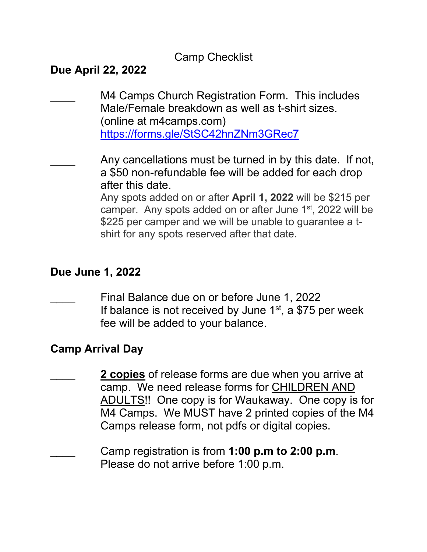## Camp Checklist

# **Due April 22, 2022**

M4 Camps Church Registration Form. This includes Male/Female breakdown as well as t-shirt sizes. (online at m4camps.com) https://forms.gle/StSC42hnZNm3GRec7

Any cancellations must be turned in by this date. If not, a \$50 non-refundable fee will be added for each drop after this date.

Any spots added on or after **April 1, 2022** will be \$215 per camper. Any spots added on or after June 1<sup>st</sup>, 2022 will be \$225 per camper and we will be unable to quarantee a tshirt for any spots reserved after that date.

### **Due June 1, 2022**

\_\_\_\_ Final Balance due on or before June 1, 2022 If balance is not received by June  $1<sup>st</sup>$ , a \$75 per week fee will be added to your balance.

### **Camp Arrival Day**

2 copies of release forms are due when you arrive at camp. We need release forms for CHILDREN AND ADULTS!! One copy is for Waukaway. One copy is for M4 Camps. We MUST have 2 printed copies of the M4 Camps release form, not pdfs or digital copies.

\_\_\_\_ Camp registration is from **1:00 p.m to 2:00 p.m**. Please do not arrive before 1:00 p.m.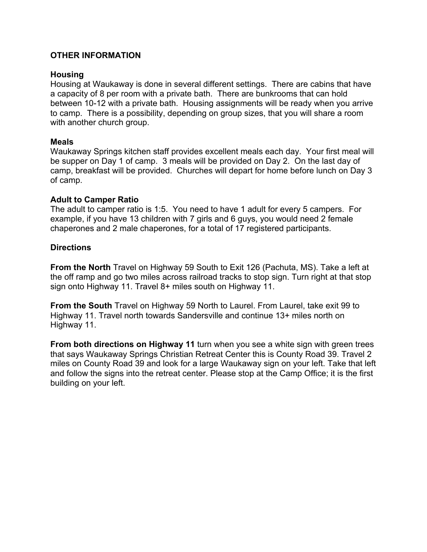#### **OTHER INFORMATION**

#### **Housing**

Housing at Waukaway is done in several different settings. There are cabins that have a capacity of 8 per room with a private bath. There are bunkrooms that can hold between 10-12 with a private bath. Housing assignments will be ready when you arrive to camp. There is a possibility, depending on group sizes, that you will share a room with another church group.

#### **Meals**

Waukaway Springs kitchen staff provides excellent meals each day. Your first meal will be supper on Day 1 of camp. 3 meals will be provided on Day 2. On the last day of camp, breakfast will be provided. Churches will depart for home before lunch on Day 3 of camp.

#### **Adult to Camper Ratio**

The adult to camper ratio is 1:5. You need to have 1 adult for every 5 campers. For example, if you have 13 children with 7 girls and 6 guys, you would need 2 female chaperones and 2 male chaperones, for a total of 17 registered participants.

#### **Directions**

**From the North** Travel on Highway 59 South to Exit 126 (Pachuta, MS). Take a left at the off ramp and go two miles across railroad tracks to stop sign. Turn right at that stop sign onto Highway 11. Travel 8+ miles south on Highway 11.

**From the South** Travel on Highway 59 North to Laurel. From Laurel, take exit 99 to Highway 11. Travel north towards Sandersville and continue 13+ miles north on Highway 11.

**From both directions on Highway 11** turn when you see a white sign with green trees that says Waukaway Springs Christian Retreat Center this is County Road 39. Travel 2 miles on County Road 39 and look for a large Waukaway sign on your left. Take that left and follow the signs into the retreat center. Please stop at the Camp Office; it is the first building on your left.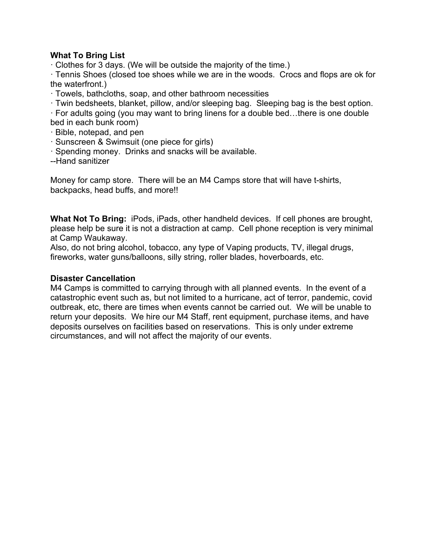#### **What To Bring List**

· Clothes for 3 days. (We will be outside the majority of the time.)

· Tennis Shoes (closed toe shoes while we are in the woods. Crocs and flops are ok for the waterfront.)

· Towels, bathcloths, soap, and other bathroom necessities

· Twin bedsheets, blanket, pillow, and/or sleeping bag. Sleeping bag is the best option.

· For adults going (you may want to bring linens for a double bed…there is one double bed in each bunk room)

- · Bible, notepad, and pen
- · Sunscreen & Swimsuit (one piece for girls)
- · Spending money. Drinks and snacks will be available.

--Hand sanitizer

Money for camp store. There will be an M4 Camps store that will have t-shirts, backpacks, head buffs, and more!!

**What Not To Bring:** iPods, iPads, other handheld devices. If cell phones are brought, please help be sure it is not a distraction at camp. Cell phone reception is very minimal at Camp Waukaway.

Also, do not bring alcohol, tobacco, any type of Vaping products, TV, illegal drugs, fireworks, water guns/balloons, silly string, roller blades, hoverboards, etc.

#### **Disaster Cancellation**

M4 Camps is committed to carrying through with all planned events. In the event of a catastrophic event such as, but not limited to a hurricane, act of terror, pandemic, covid outbreak, etc, there are times when events cannot be carried out. We will be unable to return your deposits. We hire our M4 Staff, rent equipment, purchase items, and have deposits ourselves on facilities based on reservations. This is only under extreme circumstances, and will not affect the majority of our events.